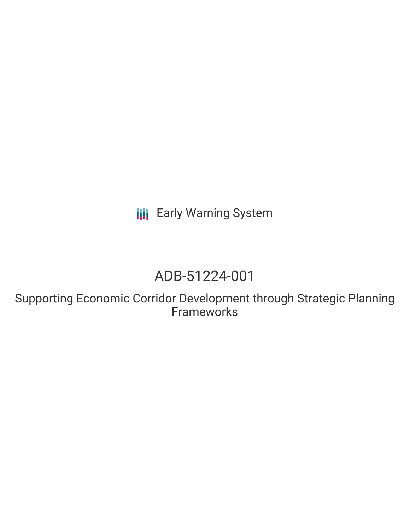**III** Early Warning System

# ADB-51224-001

Supporting Economic Corridor Development through Strategic Planning **Frameworks**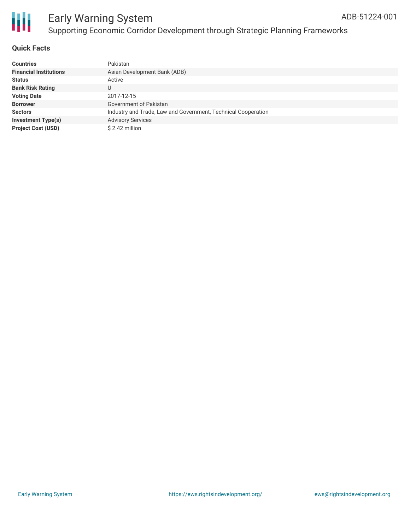

### **Quick Facts**

| <b>Countries</b>              | Pakistan                                                      |
|-------------------------------|---------------------------------------------------------------|
| <b>Financial Institutions</b> | Asian Development Bank (ADB)                                  |
| <b>Status</b>                 | Active                                                        |
| <b>Bank Risk Rating</b>       |                                                               |
| <b>Voting Date</b>            | 2017-12-15                                                    |
| <b>Borrower</b>               | Government of Pakistan                                        |
| <b>Sectors</b>                | Industry and Trade, Law and Government, Technical Cooperation |
| <b>Investment Type(s)</b>     | <b>Advisory Services</b>                                      |
| <b>Project Cost (USD)</b>     | $$2.42$ million                                               |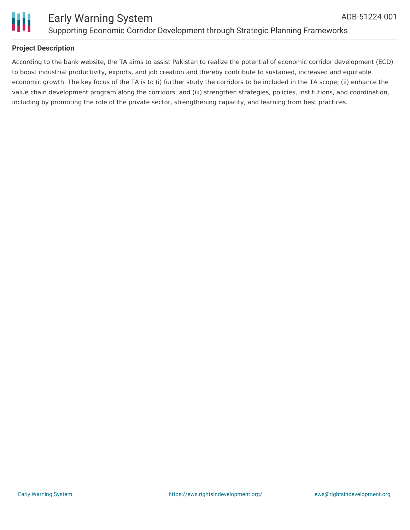

### **Project Description**

According to the bank website, the TA aims to assist Pakistan to realize the potential of economic corridor development (ECD) to boost industrial productivity, exports, and job creation and thereby contribute to sustained, increased and equitable economic growth. The key focus of the TA is to (i) further study the corridors to be included in the TA scope; (ii) enhance the value chain development program along the corridors; and (iii) strengthen strategies, policies, institutions, and coordination, including by promoting the role of the private sector, strengthening capacity, and learning from best practices.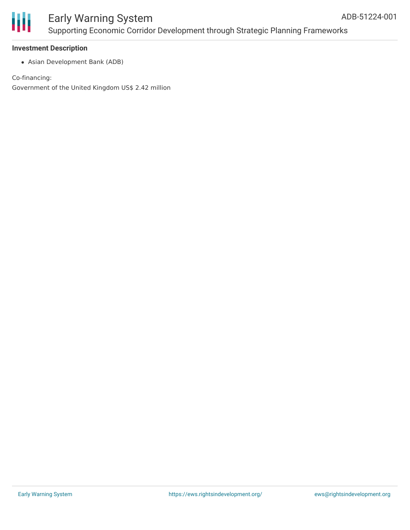

# Early Warning System Supporting Economic Corridor Development through Strategic Planning Frameworks

### **Investment Description**

Asian Development Bank (ADB)

Co-financing:

Government of the United Kingdom US\$ 2.42 million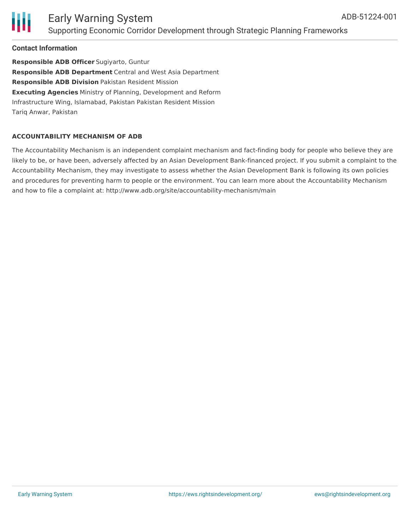

### Early Warning System Supporting Economic Corridor Development through Strategic Planning Frameworks

### **Contact Information**

**Responsible ADB Officer** Sugiyarto, Guntur **Responsible ADB Department** Central and West Asia Department **Responsible ADB Division** Pakistan Resident Mission **Executing Agencies** Ministry of Planning, Development and Reform Infrastructure Wing, Islamabad, Pakistan Pakistan Resident Mission Tariq Anwar, Pakistan

### **ACCOUNTABILITY MECHANISM OF ADB**

The Accountability Mechanism is an independent complaint mechanism and fact-finding body for people who believe they are likely to be, or have been, adversely affected by an Asian Development Bank-financed project. If you submit a complaint to the Accountability Mechanism, they may investigate to assess whether the Asian Development Bank is following its own policies and procedures for preventing harm to people or the environment. You can learn more about the Accountability Mechanism and how to file a complaint at: http://www.adb.org/site/accountability-mechanism/main